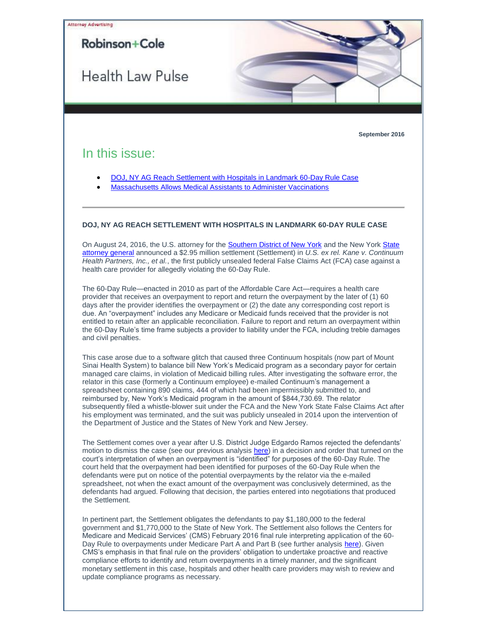<span id="page-0-0"></span>

Medicare and Medicaid Services' (CMS) February 2016 final rule interpreting application of the 60- Day Rule to overpayments under Medicare Part A and Part B (see further analysis [here\)](http://t2806904.omkt.co/track.aspx?id=402|2AD478|6F10|279|1309|0|240E|1|4C3E1E7D&destination=http%3a%2f%2fwww.rc.com%2fpublications%2fupload%2fPulse_2-18-16.pdf%3futm_source%3dVocus%26utm_medium%3demail%26utm_campaign%3dRobinson%2b%2526%2bCole%2bLLP%26utm_content%3dBHC%2bHealth%2bLaw%2bPulse%2b922016&dchk=6B1D3235). Given CMS's emphasis in that final rule on the providers' obligation to undertake proactive and reactive compliance efforts to identify and return overpayments in a timely manner, and the significant monetary settlement in this case, hospitals and other health care providers may wish to review and update compliance programs as necessary.